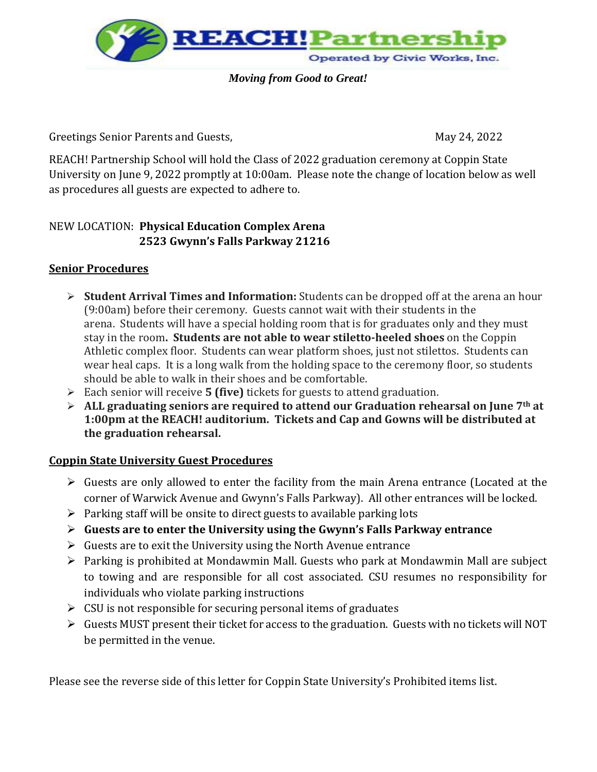

*Moving from Good to Great!*

Greetings Senior Parents and Guests, The Contract of the May 24, 2022

REACH! Partnership School will hold the Class of 2022 graduation ceremony at Coppin State University on June 9, 2022 promptly at 10:00am. Please note the change of location below as well as procedures all guests are expected to adhere to.

## NEW LOCATION: **Physical Education Complex Arena 2523 Gwynn's Falls Parkway 21216**

## **Senior Procedures**

- ➢ **Student Arrival Times and Information:** Students can be dropped off at the arena an hour (9:00am) before their ceremony. Guests cannot wait with their students in the arena. Students will have a special holding room that is for graduates only and they must stay in the room**. Students are not able to wear stiletto-heeled shoes** on the Coppin Athletic complex floor. Students can wear platform shoes, just not stilettos. Students can wear heal caps. It is a long walk from the holding space to the ceremony floor, so students should be able to walk in their shoes and be comfortable.
- ➢ Each senior will receive **5 (five)** tickets for guests to attend graduation.
- ➢ **ALL graduating seniors are required to attend our Graduation rehearsal on June 7th at 1:00pm at the REACH! auditorium. Tickets and Cap and Gowns will be distributed at the graduation rehearsal.**

## **Coppin State University Guest Procedures**

- ➢ Guests are only allowed to enter the facility from the main Arena entrance (Located at the corner of Warwick Avenue and Gwynn's Falls Parkway). All other entrances will be locked.
- $\triangleright$  Parking staff will be onsite to direct guests to available parking lots
- ➢ **Guests are to enter the University using the Gwynn's Falls Parkway entrance**
- $\triangleright$  Guests are to exit the University using the North Avenue entrance
- ➢ Parking is prohibited at Mondawmin Mall. Guests who park at Mondawmin Mall are subject to towing and are responsible for all cost associated. CSU resumes no responsibility for individuals who violate parking instructions
- $\triangleright$  CSU is not responsible for securing personal items of graduates
- ➢ Guests MUST present their ticket for access to the graduation. Guests with no tickets will NOT be permitted in the venue.

Please see the reverse side of this letter for Coppin State University's Prohibited items list.